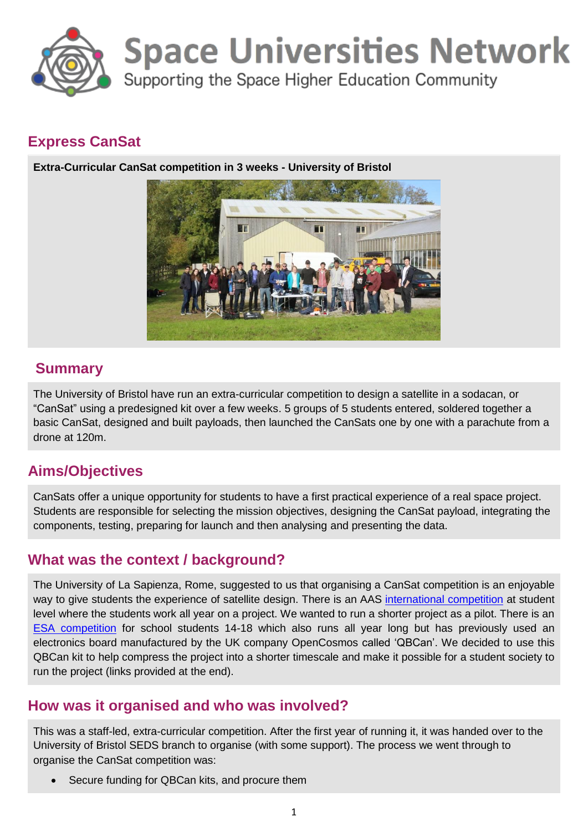

# **Space Universities Network**

Supporting the Space Higher Education Community

## **Express CanSat**

**Extra-Curricular CanSat competition in 3 weeks - University of Bristol**



# **Summary**

The University of Bristol have run an extra-curricular competition to design a satellite in a sodacan, or "CanSat" using a predesigned kit over a few weeks. 5 groups of 5 students entered, soldered together a basic CanSat, designed and built payloads, then launched the CanSats one by one with a parachute from a drone at 120m.

## **Aims/Objectives**

CanSats offer a unique opportunity for students to have a first practical experience of a real space project. Students are responsible for selecting the mission objectives, designing the CanSat payload, integrating the components, testing, preparing for launch and then analysing and presenting the data.

## **What was the context / background?**

The University of La Sapienza, Rome, suggested to us that organising a CanSat competition is an enjoyable way to give students the experience of satellite design. There is an AAS [international competition](http://www.cansatcompetition.com/) at student level where the students work all year on a project. We wanted to run a shorter project as a pilot. There is an [ESA competition](https://www.stem.org.uk/esero/cansat) for school students 14-18 which also runs all year long but has previously used an electronics board manufactured by the UK company OpenCosmos called 'QBCan'. We decided to use this QBCan kit to help compress the project into a shorter timescale and make it possible for a student society to run the project (links provided at the end).

## **How was it organised and who was involved?**

This was a staff-led, extra-curricular competition. After the first year of running it, it was handed over to the University of Bristol SEDS branch to organise (with some support). The process we went through to organise the CanSat competition was:

Secure funding for QBCan kits, and procure them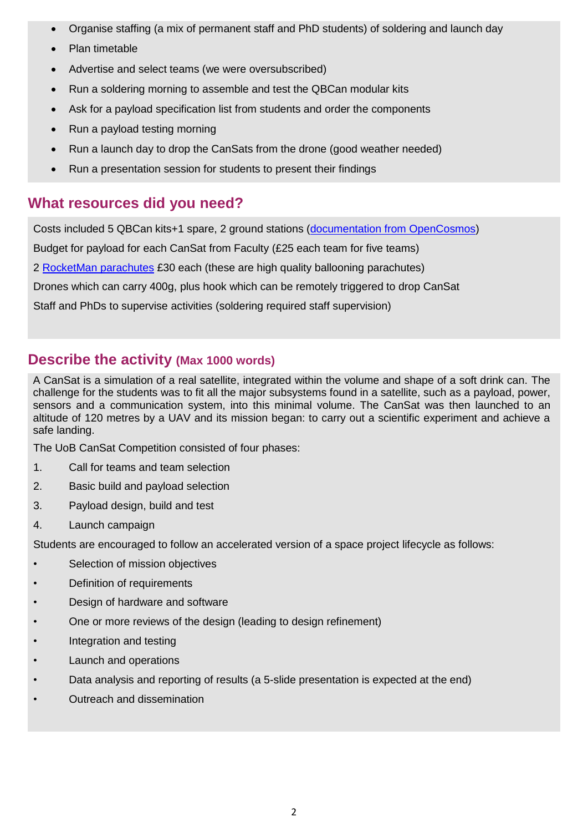- Organise staffing (a mix of permanent staff and PhD students) of soldering and launch day
- Plan timetable
- Advertise and select teams (we were oversubscribed)
- Run a soldering morning to assemble and test the QBCan modular kits
- Ask for a payload specification list from students and order the components
- Run a payload testing morning
- Run a launch day to drop the CanSats from the drone (good weather needed)
- Run a presentation session for students to present their findings

## **What resources did you need?**

Costs included 5 QBCan kits+1 spare, 2 ground stations [\(documentation from OpenCosmos\)](http://doc.open-cosmos.com/Qbcan_modular)

Budget for payload for each CanSat from Faculty (£25 each team for five teams)

2 [RocketMan parachutes](http://www.randomengineering.co.uk/Random_Aerospace/Parachutes.html) £30 each (these are high quality ballooning parachutes)

Drones which can carry 400g, plus hook which can be remotely triggered to drop CanSat

Staff and PhDs to supervise activities (soldering required staff supervision)

#### **Describe the activity (Max 1000 words)**

A CanSat is a simulation of a real satellite, integrated within the volume and shape of a soft drink can. The challenge for the students was to fit all the major subsystems found in a satellite, such as a payload, power, sensors and a communication system, into this minimal volume. The CanSat was then launched to an altitude of 120 metres by a UAV and its mission began: to carry out a scientific experiment and achieve a safe landing.

The UoB CanSat Competition consisted of four phases:

- 1. Call for teams and team selection
- 2. Basic build and payload selection
- 3. Payload design, build and test
- 4. Launch campaign

Students are encouraged to follow an accelerated version of a space project lifecycle as follows:

- Selection of mission objectives
- Definition of requirements
- Design of hardware and software
- One or more reviews of the design (leading to design refinement)
- Integration and testing
- Launch and operations
- Data analysis and reporting of results (a 5-slide presentation is expected at the end)
- Outreach and dissemination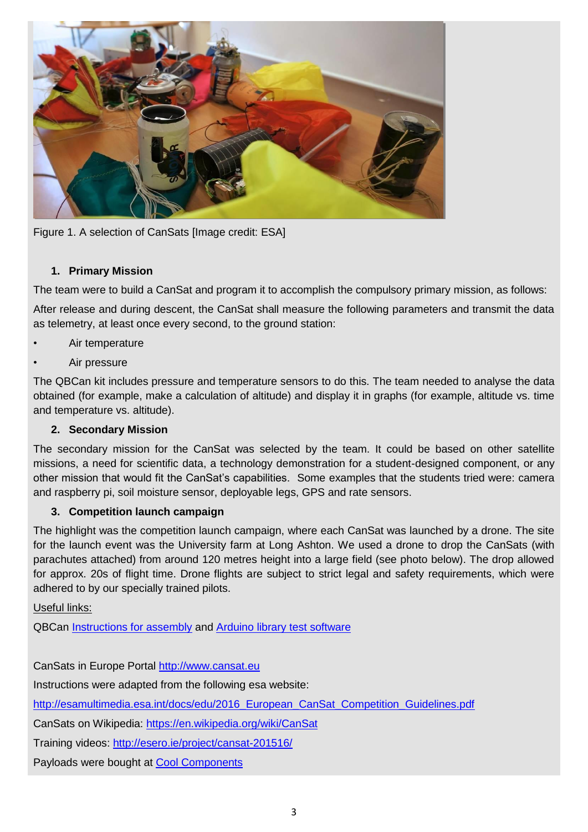

Figure 1. A selection of CanSats [Image credit: ESA]

#### **1. Primary Mission**

The team were to build a CanSat and program it to accomplish the compulsory primary mission, as follows:

After release and during descent, the CanSat shall measure the following parameters and transmit the data as telemetry, at least once every second, to the ground station:

- Air temperature
- Air pressure

The QBCan kit includes pressure and temperature sensors to do this. The team needed to analyse the data obtained (for example, make a calculation of altitude) and display it in graphs (for example, altitude vs. time and temperature vs. altitude).

#### **2. Secondary Mission**

The secondary mission for the CanSat was selected by the team. It could be based on other satellite missions, a need for scientific data, a technology demonstration for a student-designed component, or any other mission that would fit the CanSat's capabilities. Some examples that the students tried were: camera and raspberry pi, soil moisture sensor, deployable legs, GPS and rate sensors.

#### **3. Competition launch campaign**

The highlight was the competition launch campaign, where each CanSat was launched by a drone. The site for the launch event was the University farm at Long Ashton. We used a drone to drop the CanSats (with parachutes attached) from around 120 metres height into a large field (see photo below). The drop allowed for approx. 20s of flight time. Drone flights are subject to strict legal and safety requirements, which were adhered to by our specially trained pilots.

Useful links:

QBCan [Instructions for assembly](http://doc.open-cosmos.com/Qbcan_modular) and [Arduino library test software](http://doc.open-cosmos.com/Qbcan_software_installation)

CanSats in Europe Portal [http://www.cansat.eu](http://www.cansat.eu/)

Instructions were adapted from the following esa website:

[http://esamultimedia.esa.int/docs/edu/2016\\_European\\_CanSat\\_Competition\\_Guidelines.pdf](http://esamultimedia.esa.int/docs/edu/2016_European_CanSat_Competition_Guidelines.pdf)

CanSats on Wikipedia:<https://en.wikipedia.org/wiki/CanSat>

Training videos:<http://esero.ie/project/cansat-201516/>

Payloads were bought at [Cool Components](https://www.coolcomponents.co.uk/)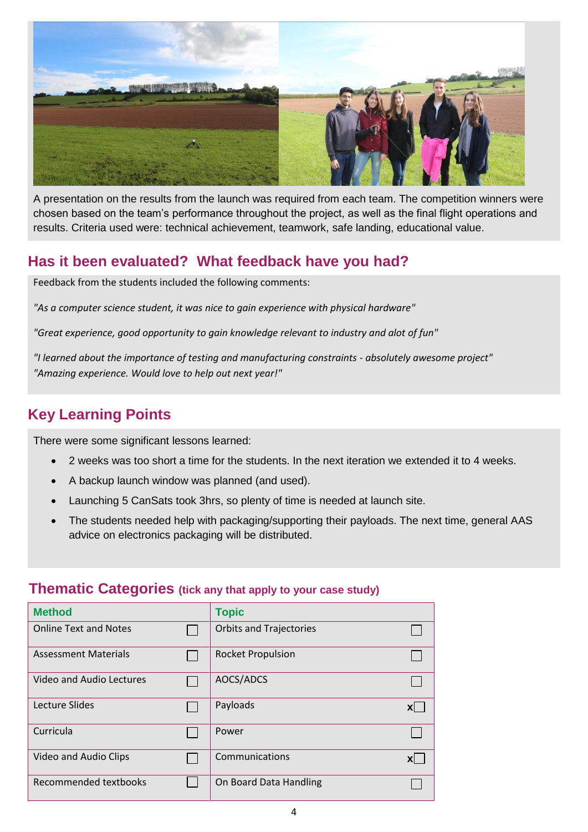

A presentation on the results from the launch was required from each team. The competition winners were chosen based on the team's performance throughout the project, as well as the final flight operations and results. Criteria used were: technical achievement, teamwork, safe landing, educational value.

## **Has it been evaluated? What feedback have you had?**

Feedback from the students included the following comments:

*"As a computer science student, it was nice to gain experience with physical hardware"*

*"Great experience, good opportunity to gain knowledge relevant to industry and alot of fun"*

*"I learned about the importance of testing and manufacturing constraints - absolutely awesome project" "Amazing experience. Would love to help out next year!"*

# **Key Learning Points**

There were some significant lessons learned:

- 2 weeks was too short a time for the students. In the next iteration we extended it to 4 weeks.
- A backup launch window was planned (and used).
- Launching 5 CanSats took 3hrs, so plenty of time is needed at launch site.
- The students needed help with packaging/supporting their payloads. The next time, general AAS advice on electronics packaging will be distributed.

#### **Thematic Categories (tick any that apply to your case study)**

| <b>Method</b>                | <b>Topic</b>                   |           |
|------------------------------|--------------------------------|-----------|
| <b>Online Text and Notes</b> | <b>Orbits and Trajectories</b> |           |
| <b>Assessment Materials</b>  | <b>Rocket Propulsion</b>       |           |
| Video and Audio Lectures     | AOCS/ADCS                      |           |
| Lecture Slides               | Payloads                       | <b>XI</b> |
| Curricula                    | Power                          |           |
| Video and Audio Clips        | Communications                 | ΧI        |
| <b>Recommended textbooks</b> | On Board Data Handling         |           |